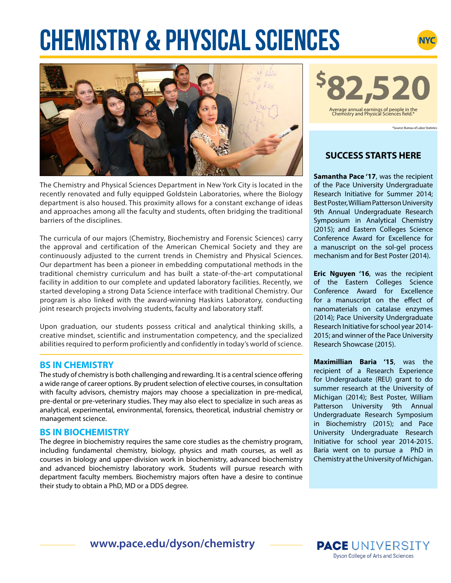# **CHEMISTRY & PHYSICAL SCIENCEs**



The Chemistry and Physical Sciences Department in New York City is located in the recently renovated and fully equipped Goldstein Laboratories, where the Biology department is also housed. This proximity allows for a constant exchange of ideas and approaches among all the faculty and students, often bridging the traditional barriers of the disciplines.

The curricula of our majors (Chemistry, Biochemistry and Forensic Sciences) carry the approval and certification of the American Chemical Society and they are continuously adjusted to the current trends in Chemistry and Physical Sciences. Our department has been a pioneer in embedding computational methods in the traditional chemistry curriculum and has built a state-of-the-art computational facility in addition to our complete and updated laboratory facilities. Recently, we started developing a strong Data Science interface with traditional Chemistry. Our program is also linked with the award-winning Haskins Laboratory, conducting joint research projects involving students, faculty and laboratory staff.

Upon graduation, our students possess critical and analytical thinking skills, a creative mindset, scientific and instrumentation competency, and the specialized abilities required to perform proficiently and confidently in today's world of science.

### **BS IN CHEMISTRY**

The study of chemistry is both challenging and rewarding. It is a central science offering a wide range of career options. By prudent selection of elective courses, in consultation with faculty advisors, chemistry majors may choose a specialization in pre-medical, pre-dental or pre-veterinary studies. They may also elect to specialize in such areas as analytical, experimental, environmental, forensics, theoretical, industrial chemistry or management science.

### **BS IN BIOCHEMISTRY**

The degree in biochemistry requires the same core studies as the chemistry program, including fundamental chemistry, biology, physics and math courses, as well as courses in biology and upper-division work in biochemistry, advanced biochemistry and advanced biochemistry laboratory work. Students will pursue research with department faculty members. Biochemistry majors often have a desire to continue their study to obtain a PhD, MD or a DDS degree.



\*Source: Bureau of Labor Statistics

**NYC** 

# **SUCCESS STARTS HERE**

**Samantha Pace '17**, was the recipient of the Pace University Undergraduate Research Initiative for Summer 2014; Best Poster, William Patterson University 9th Annual Undergraduate Research Symposium in Analytical Chemistry (2015); and Eastern Colleges Science Conference Award for Excellence for a manuscript on the sol-gel process mechanism and for Best Poster (2014).

**Eric Nguyen '16**, was the recipient of the Eastern Colleges Science Conference Award for Excellence for a manuscript on the effect of nanomaterials on catalase enzymes (2014); Pace University Undergraduate Research Initiative for school year 2014- 2015; and winner of the Pace University Research Showcase (2015).

**Maximillian Baria '15**, was the recipient of a Research Experience for Undergraduate (REU) grant to do summer research at the University of Michigan (2014); Best Poster, William Patterson University 9th Annual Undergraduate Research Symposium in Biochemistry (2015); and Pace University Undergraduate Research Initiative for school year 2014-2015. Baria went on to pursue a PhD in Chemistry at the University of Michigan.

**www.pace.edu/dyson/chemistry**